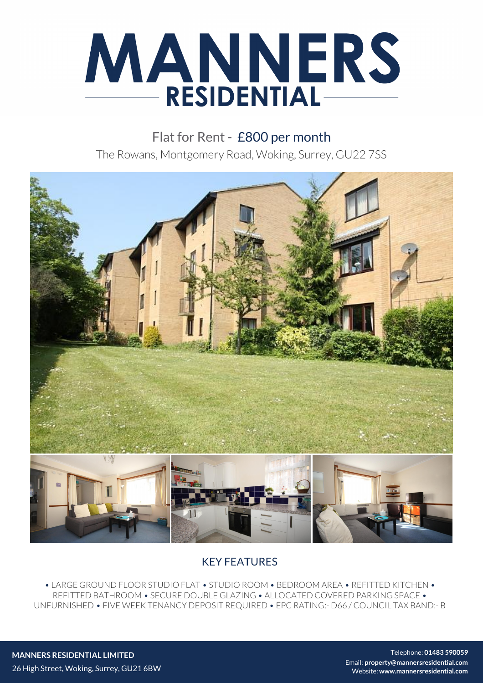

Flat for Rent - £800 per month The Rowans, Montgomery Road, Woking, Surrey, GU22 7SS



## KEY FEATURES

• LARGE GROUND FLOOR STUDIO FLAT • STUDIO ROOM • BEDROOM AREA • REFITTED KITCHEN • REFITTED BATHROOM • SECURE DOUBLE GLAZING • ALLOCATED COVERED PARKING SPACE • UNFURNISHED • FIVE WEEK TENANCY DEPOSIT REQUIRED • EPC RATING:- D66 / COUNCIL TAX BAND:- B